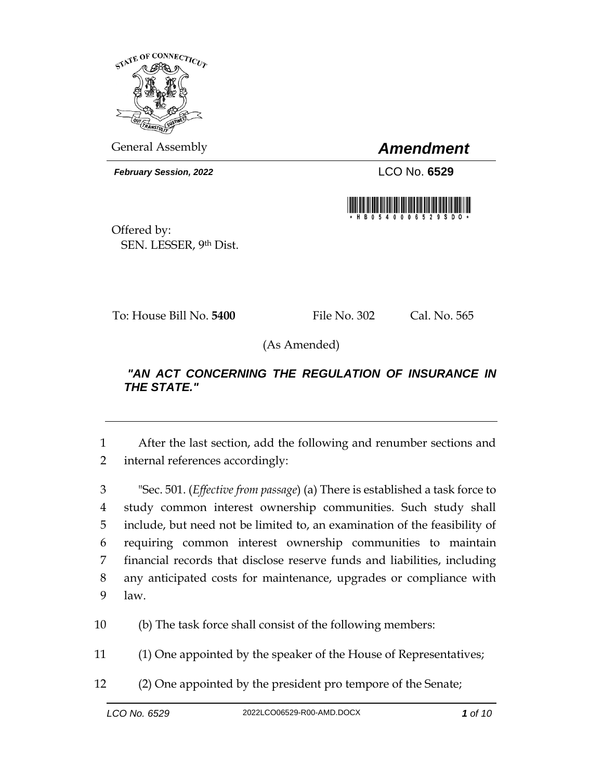

General Assembly *Amendment*

*February Session, 2022* LCO No. **6529**



Offered by: SEN. LESSER, 9th Dist.

To: House Bill No. **5400** File No. 302 Cal. No. 565

(As Amended)

## *"AN ACT CONCERNING THE REGULATION OF INSURANCE IN THE STATE."*

1 After the last section, add the following and renumber sections and 2 internal references accordingly:

 "Sec. 501. (*Effective from passage*) (a) There is established a task force to study common interest ownership communities. Such study shall include, but need not be limited to, an examination of the feasibility of requiring common interest ownership communities to maintain financial records that disclose reserve funds and liabilities, including any anticipated costs for maintenance, upgrades or compliance with 9 law.

10 (b) The task force shall consist of the following members:

11 (1) One appointed by the speaker of the House of Representatives;

12 (2) One appointed by the president pro tempore of the Senate;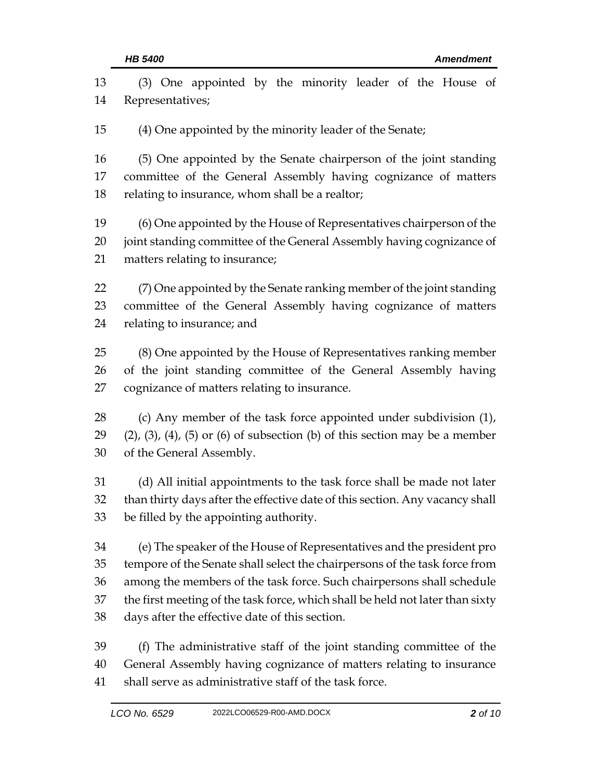| 13 | (3) One appointed by the minority leader of the House of                                   |  |
|----|--------------------------------------------------------------------------------------------|--|
| 14 | Representatives;                                                                           |  |
| 15 | (4) One appointed by the minority leader of the Senate;                                    |  |
| 16 | (5) One appointed by the Senate chairperson of the joint standing                          |  |
| 17 | committee of the General Assembly having cognizance of matters                             |  |
| 18 | relating to insurance, whom shall be a realtor;                                            |  |
| 19 | (6) One appointed by the House of Representatives chairperson of the                       |  |
| 20 | joint standing committee of the General Assembly having cognizance of                      |  |
| 21 | matters relating to insurance;                                                             |  |
| 22 | (7) One appointed by the Senate ranking member of the joint standing                       |  |
| 23 | committee of the General Assembly having cognizance of matters                             |  |
| 24 | relating to insurance; and                                                                 |  |
| 25 | (8) One appointed by the House of Representatives ranking member                           |  |
| 26 | of the joint standing committee of the General Assembly having                             |  |
| 27 | cognizance of matters relating to insurance.                                               |  |
| 28 | (c) Any member of the task force appointed under subdivision (1),                          |  |
| 29 | $(2)$ , $(3)$ , $(4)$ , $(5)$ or $(6)$ of subsection $(b)$ of this section may be a member |  |
| 30 | of the General Assembly.                                                                   |  |
| 31 | (d) All initial appointments to the task force shall be made not later                     |  |
| 32 | than thirty days after the effective date of this section. Any vacancy shall               |  |
| 33 | be filled by the appointing authority.                                                     |  |
| 34 | (e) The speaker of the House of Representatives and the president pro                      |  |
| 35 | tempore of the Senate shall select the chairpersons of the task force from                 |  |
| 36 | among the members of the task force. Such chairpersons shall schedule                      |  |
| 37 | the first meeting of the task force, which shall be held not later than sixty              |  |
| 38 | days after the effective date of this section.                                             |  |
| 39 | (f) The administrative staff of the joint standing committee of the                        |  |
| 40 | General Assembly having cognizance of matters relating to insurance                        |  |
| 41 | shall serve as administrative staff of the task force.                                     |  |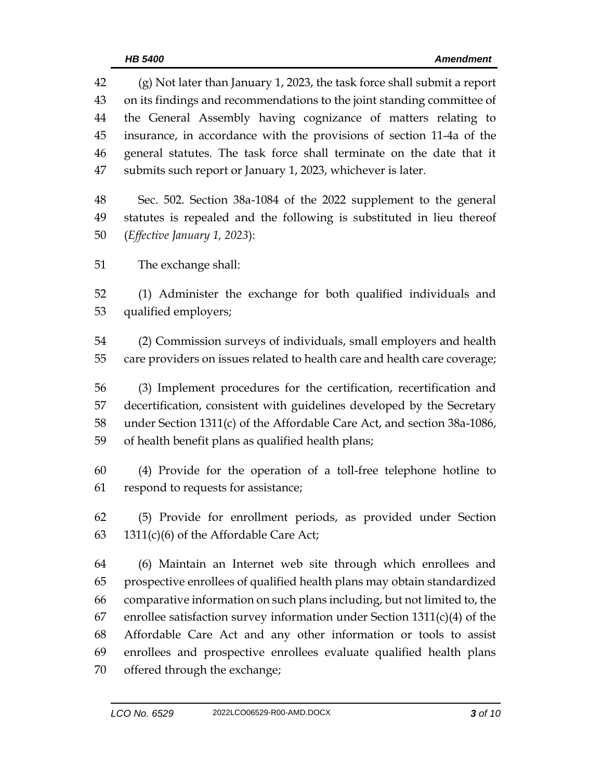(g) Not later than January 1, 2023, the task force shall submit a report on its findings and recommendations to the joint standing committee of the General Assembly having cognizance of matters relating to insurance, in accordance with the provisions of section 11-4a of the general statutes. The task force shall terminate on the date that it submits such report or January 1, 2023, whichever is later. Sec. 502. Section 38a-1084 of the 2022 supplement to the general statutes is repealed and the following is substituted in lieu thereof (*Effective January 1, 2023*): The exchange shall: (1) Administer the exchange for both qualified individuals and qualified employers; (2) Commission surveys of individuals, small employers and health care providers on issues related to health care and health care coverage; (3) Implement procedures for the certification, recertification and decertification, consistent with guidelines developed by the Secretary under Section 1311(c) of the Affordable Care Act, and section 38a-1086, of health benefit plans as qualified health plans; (4) Provide for the operation of a toll-free telephone hotline to respond to requests for assistance; (5) Provide for enrollment periods, as provided under Section 63 1311(c)(6) of the Affordable Care Act; (6) Maintain an Internet web site through which enrollees and prospective enrollees of qualified health plans may obtain standardized comparative information on such plans including, but not limited to, the 67 enrollee satisfaction survey information under Section  $1311(c)(4)$  of the Affordable Care Act and any other information or tools to assist enrollees and prospective enrollees evaluate qualified health plans offered through the exchange;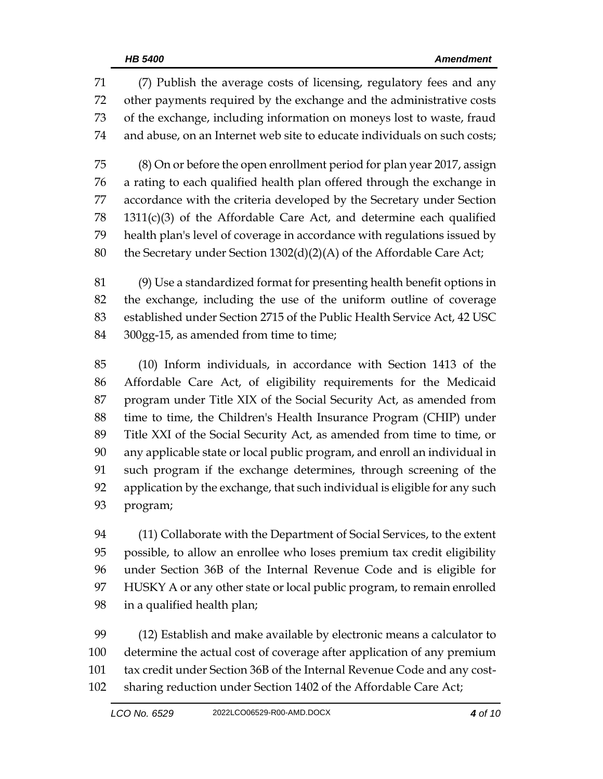(7) Publish the average costs of licensing, regulatory fees and any other payments required by the exchange and the administrative costs of the exchange, including information on moneys lost to waste, fraud and abuse, on an Internet web site to educate individuals on such costs; (8) On or before the open enrollment period for plan year 2017, assign a rating to each qualified health plan offered through the exchange in accordance with the criteria developed by the Secretary under Section 1311(c)(3) of the Affordable Care Act, and determine each qualified health plan's level of coverage in accordance with regulations issued by 80 the Secretary under Section 1302(d)(2)(A) of the Affordable Care Act;

 (9) Use a standardized format for presenting health benefit options in the exchange, including the use of the uniform outline of coverage established under Section 2715 of the Public Health Service Act, 42 USC 84 300gg-15, as amended from time to time;

 (10) Inform individuals, in accordance with Section 1413 of the Affordable Care Act, of eligibility requirements for the Medicaid program under Title XIX of the Social Security Act, as amended from time to time, the Children's Health Insurance Program (CHIP) under Title XXI of the Social Security Act, as amended from time to time, or any applicable state or local public program, and enroll an individual in such program if the exchange determines, through screening of the application by the exchange, that such individual is eligible for any such program;

 (11) Collaborate with the Department of Social Services, to the extent possible, to allow an enrollee who loses premium tax credit eligibility under Section 36B of the Internal Revenue Code and is eligible for HUSKY A or any other state or local public program, to remain enrolled in a qualified health plan;

 (12) Establish and make available by electronic means a calculator to determine the actual cost of coverage after application of any premium tax credit under Section 36B of the Internal Revenue Code and any cost-sharing reduction under Section 1402 of the Affordable Care Act;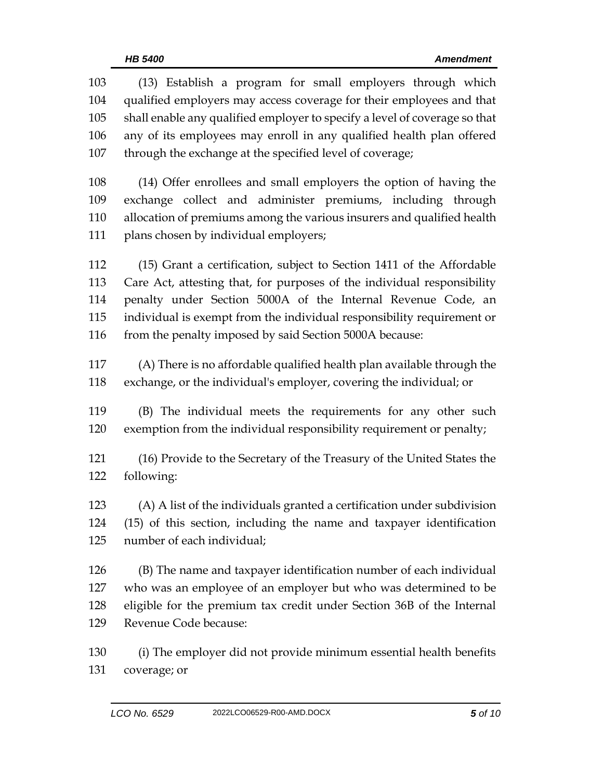| 103 | (13) Establish a program for small employers through which                 |
|-----|----------------------------------------------------------------------------|
| 104 | qualified employers may access coverage for their employees and that       |
| 105 | shall enable any qualified employer to specify a level of coverage so that |
| 106 | any of its employees may enroll in any qualified health plan offered       |
| 107 | through the exchange at the specified level of coverage;                   |
| 108 | (14) Offer enrollees and small employers the option of having the          |
| 109 | exchange collect and administer premiums, including through                |
| 110 | allocation of premiums among the various insurers and qualified health     |
| 111 | plans chosen by individual employers;                                      |
| 112 | (15) Grant a certification, subject to Section 1411 of the Affordable      |
| 113 | Care Act, attesting that, for purposes of the individual responsibility    |
| 114 | penalty under Section 5000A of the Internal Revenue Code, an               |
| 115 | individual is exempt from the individual responsibility requirement or     |
| 116 | from the penalty imposed by said Section 5000A because:                    |
| 117 | (A) There is no affordable qualified health plan available through the     |
| 118 | exchange, or the individual's employer, covering the individual; or        |
| 119 | (B) The individual meets the requirements for any other such               |
| 120 | exemption from the individual responsibility requirement or penalty;       |
| 121 | (16) Provide to the Secretary of the Treasury of the United States the     |
| 122 | following:                                                                 |
| 123 | (A) A list of the individuals granted a certification under subdivision    |
| 124 | (15) of this section, including the name and taxpayer identification       |
| 125 | number of each individual;                                                 |
| 126 | (B) The name and taxpayer identification number of each individual         |
| 127 | who was an employee of an employer but who was determined to be            |
| 128 | eligible for the premium tax credit under Section 36B of the Internal      |
| 129 | Revenue Code because:                                                      |
| 130 | (i) The employer did not provide minimum essential health benefits         |
| 131 | coverage; or                                                               |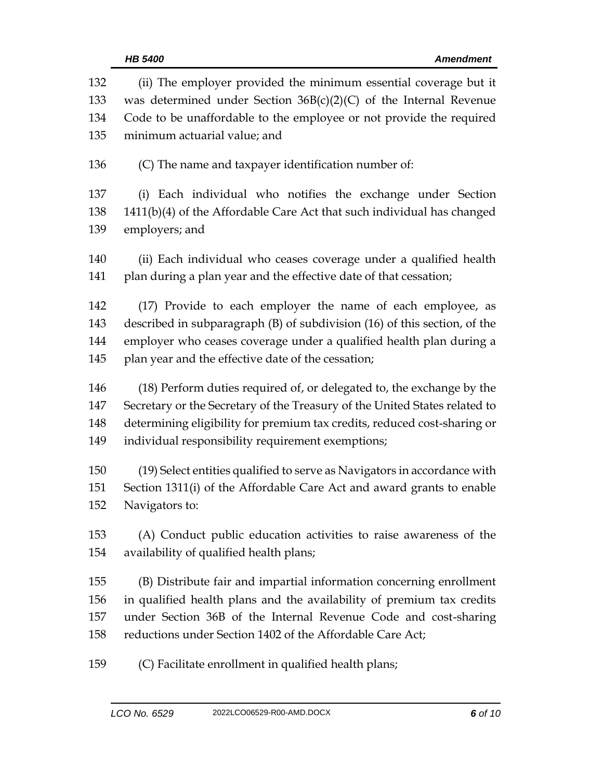|            | HB 5400<br><b>Amendment</b>                                                                                                             |  |  |
|------------|-----------------------------------------------------------------------------------------------------------------------------------------|--|--|
| 132<br>133 | (ii) The employer provided the minimum essential coverage but it<br>was determined under Section $36B(c)(2)(C)$ of the Internal Revenue |  |  |
| 134        | Code to be unaffordable to the employee or not provide the required                                                                     |  |  |
| 135        | minimum actuarial value; and                                                                                                            |  |  |
| 136        | (C) The name and taxpayer identification number of:                                                                                     |  |  |
| 137        | (i) Each individual who notifies the exchange under Section                                                                             |  |  |
| 138        | 1411(b)(4) of the Affordable Care Act that such individual has changed                                                                  |  |  |
| 139        | employers; and                                                                                                                          |  |  |
| 140        | (ii) Each individual who ceases coverage under a qualified health                                                                       |  |  |
| 141        | plan during a plan year and the effective date of that cessation;                                                                       |  |  |
| 142        | (17) Provide to each employer the name of each employee, as                                                                             |  |  |
| 143        | described in subparagraph (B) of subdivision (16) of this section, of the                                                               |  |  |
| 144        | employer who ceases coverage under a qualified health plan during a                                                                     |  |  |
| 145        | plan year and the effective date of the cessation;                                                                                      |  |  |
| 146        | (18) Perform duties required of, or delegated to, the exchange by the                                                                   |  |  |
| 147        | Secretary or the Secretary of the Treasury of the United States related to                                                              |  |  |
| 148        | determining eligibility for premium tax credits, reduced cost-sharing or                                                                |  |  |
| 149        | individual responsibility requirement exemptions;                                                                                       |  |  |
| 150        | (19) Select entities qualified to serve as Navigators in accordance with                                                                |  |  |
| 151        | Section 1311(i) of the Affordable Care Act and award grants to enable                                                                   |  |  |
| 152        | Navigators to:                                                                                                                          |  |  |
| 153        | (A) Conduct public education activities to raise awareness of the                                                                       |  |  |
| 154        | availability of qualified health plans;                                                                                                 |  |  |
| 155        | (B) Distribute fair and impartial information concerning enrollment                                                                     |  |  |
| 156        | in qualified health plans and the availability of premium tax credits                                                                   |  |  |
| 157        | under Section 36B of the Internal Revenue Code and cost-sharing                                                                         |  |  |
| 158        | reductions under Section 1402 of the Affordable Care Act;                                                                               |  |  |
| 159        | (C) Facilitate enrollment in qualified health plans;                                                                                    |  |  |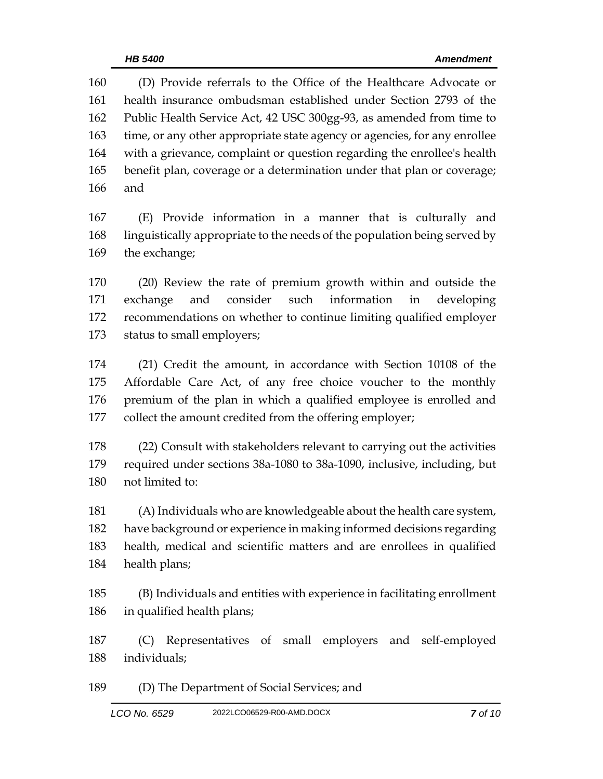(D) Provide referrals to the Office of the Healthcare Advocate or health insurance ombudsman established under Section 2793 of the Public Health Service Act, 42 USC 300gg-93, as amended from time to 163 time, or any other appropriate state agency or agencies, for any enrollee with a grievance, complaint or question regarding the enrollee's health benefit plan, coverage or a determination under that plan or coverage; and

 (E) Provide information in a manner that is culturally and linguistically appropriate to the needs of the population being served by the exchange;

 (20) Review the rate of premium growth within and outside the exchange and consider such information in developing recommendations on whether to continue limiting qualified employer status to small employers;

 (21) Credit the amount, in accordance with Section 10108 of the Affordable Care Act, of any free choice voucher to the monthly premium of the plan in which a qualified employee is enrolled and collect the amount credited from the offering employer;

 (22) Consult with stakeholders relevant to carrying out the activities required under sections 38a-1080 to 38a-1090, inclusive, including, but not limited to:

 (A) Individuals who are knowledgeable about the health care system, have background or experience in making informed decisions regarding health, medical and scientific matters and are enrollees in qualified health plans;

 (B) Individuals and entities with experience in facilitating enrollment in qualified health plans;

 (C) Representatives of small employers and self-employed individuals;

(D) The Department of Social Services; and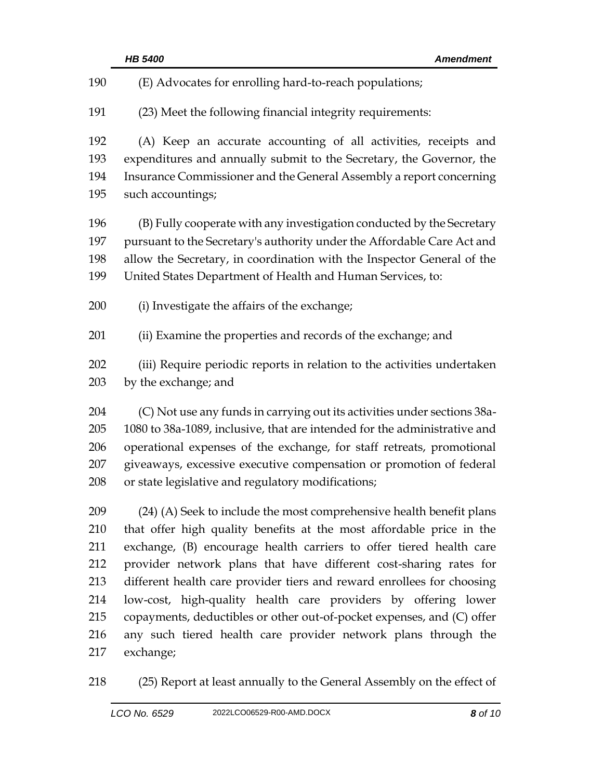|     | <b>HB 5400</b><br><b>Amendment</b>                                        |  |  |
|-----|---------------------------------------------------------------------------|--|--|
| 190 | (E) Advocates for enrolling hard-to-reach populations;                    |  |  |
| 191 | (23) Meet the following financial integrity requirements:                 |  |  |
| 192 | (A) Keep an accurate accounting of all activities, receipts and           |  |  |
| 193 | expenditures and annually submit to the Secretary, the Governor, the      |  |  |
| 194 | Insurance Commissioner and the General Assembly a report concerning       |  |  |
| 195 | such accountings;                                                         |  |  |
| 196 | (B) Fully cooperate with any investigation conducted by the Secretary     |  |  |
| 197 | pursuant to the Secretary's authority under the Affordable Care Act and   |  |  |
| 198 | allow the Secretary, in coordination with the Inspector General of the    |  |  |
| 199 | United States Department of Health and Human Services, to:                |  |  |
| 200 | (i) Investigate the affairs of the exchange;                              |  |  |
| 201 | (ii) Examine the properties and records of the exchange; and              |  |  |
| 202 | (iii) Require periodic reports in relation to the activities undertaken   |  |  |
| 203 | by the exchange; and                                                      |  |  |
| 204 | (C) Not use any funds in carrying out its activities under sections 38a-  |  |  |
| 205 | 1080 to 38a-1089, inclusive, that are intended for the administrative and |  |  |
| 206 | operational expenses of the exchange, for staff retreats, promotional     |  |  |
| 207 | giveaways, excessive executive compensation or promotion of federal       |  |  |
| 208 | or state legislative and regulatory modifications;                        |  |  |
| 209 | (24) (A) Seek to include the most comprehensive health benefit plans      |  |  |
| 210 | that offer high quality benefits at the most affordable price in the      |  |  |
| 211 | exchange, (B) encourage health carriers to offer tiered health care       |  |  |
| 212 | provider network plans that have different cost-sharing rates for         |  |  |
| 213 | different health care provider tiers and reward enrollees for choosing    |  |  |
| 214 | low-cost, high-quality health care providers by offering lower            |  |  |
| 215 | copayments, deductibles or other out-of-pocket expenses, and (C) offer    |  |  |
| 216 | any such tiered health care provider network plans through the            |  |  |
| 217 | exchange;                                                                 |  |  |
| 218 | (25) Report at least annually to the General Assembly on the effect of    |  |  |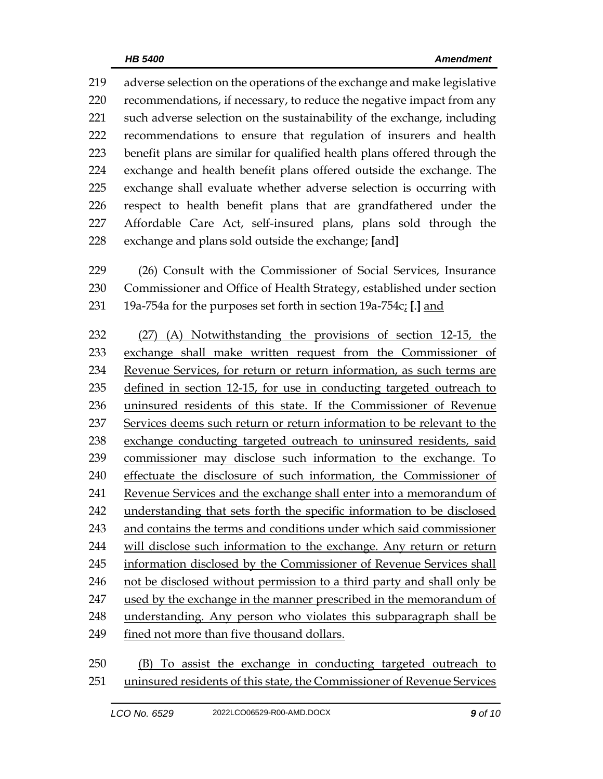adverse selection on the operations of the exchange and make legislative recommendations, if necessary, to reduce the negative impact from any such adverse selection on the sustainability of the exchange, including recommendations to ensure that regulation of insurers and health benefit plans are similar for qualified health plans offered through the exchange and health benefit plans offered outside the exchange. The exchange shall evaluate whether adverse selection is occurring with respect to health benefit plans that are grandfathered under the Affordable Care Act, self-insured plans, plans sold through the exchange and plans sold outside the exchange; **[**and**]**

 (26) Consult with the Commissioner of Social Services, Insurance Commissioner and Office of Health Strategy, established under section 19a-754a for the purposes set forth in section 19a-754c; **[**.**]** and

 (27) (A) Notwithstanding the provisions of section 12-15, the exchange shall make written request from the Commissioner of Revenue Services, for return or return information, as such terms are defined in section 12-15, for use in conducting targeted outreach to uninsured residents of this state. If the Commissioner of Revenue Services deems such return or return information to be relevant to the exchange conducting targeted outreach to uninsured residents, said commissioner may disclose such information to the exchange. To effectuate the disclosure of such information, the Commissioner of Revenue Services and the exchange shall enter into a memorandum of understanding that sets forth the specific information to be disclosed and contains the terms and conditions under which said commissioner will disclose such information to the exchange. Any return or return information disclosed by the Commissioner of Revenue Services shall 246 not be disclosed without permission to a third party and shall only be used by the exchange in the manner prescribed in the memorandum of understanding. Any person who violates this subparagraph shall be fined not more than five thousand dollars.

 (B) To assist the exchange in conducting targeted outreach to uninsured residents of this state, the Commissioner of Revenue Services